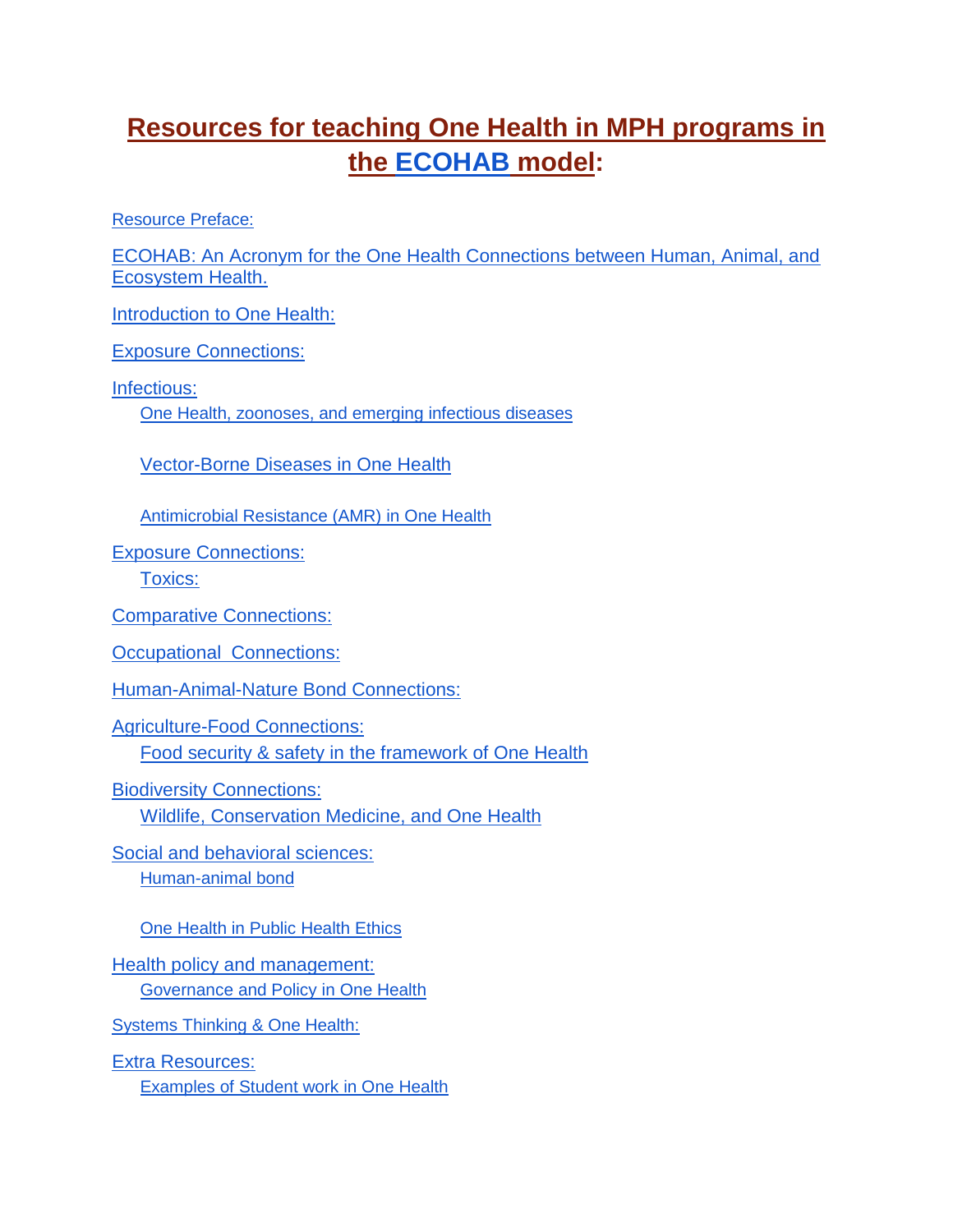# **Resources for teaching One Health in MPH programs in the [ECOHAB](https://deohs.washington.edu/cohr/what-one-health) model:**

Resource Preface:

[ECOHAB: An Acronym for the One Health Connections between Human, Animal, and](#page-2-0)  [Ecosystem Health.](#page-2-0)

**[Introduction to One Health:](#page-3-0)** 

[Exposure Connections:](#page-3-1)

Infectious:

[One Health, zoonoses, and emerging infectious diseases](#page-3-2)

Vector-Borne Diseases in One Health

[Antimicrobial Resistance \(AMR\) in One Health](#page-4-0)

Exposure Connections:

Toxics:

[Comparative Connections:](#page-5-0)

[Occupational Connections:](#page-5-1)

Human-Animal-Nature Bond Connections:

[Agriculture-Food Connections:](#page-9-0) Food security & safety in the framework of One Health

[Biodiversity Connections:](#page-9-1) Wildlife, Conservation Medicine, and One Health

Social and behavioral sciences: Human-animal bond

One Health in Public Health Ethics

Health policy and management: **Governance and Policy in One Health** 

Systems Thinking & One Health:

Extra Resources: Examples of Student work in One Health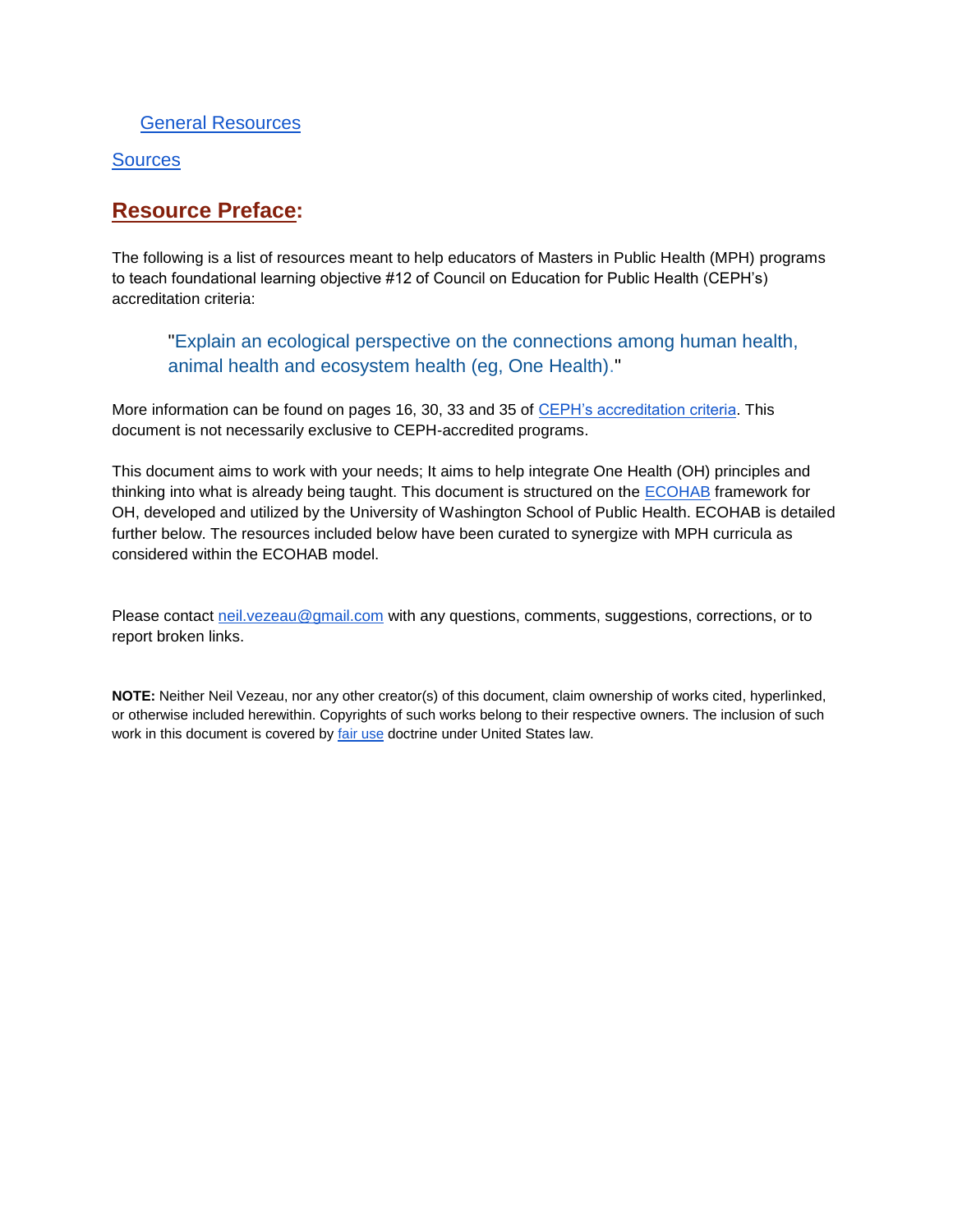#### General Resources

#### **Sources**

### **Resource Preface:**

The following is a list of resources meant to help educators of Masters in Public Health (MPH) programs to teach foundational learning objective #12 of Council on Education for Public Health (CEPH's) accreditation criteria:

"Explain an ecological perspective on the connections among human health, animal health and ecosystem health (eg, One Health)."

More information can be found on pages 16, 30, 33 and 35 of [CEPH's accreditation criteria.](https://media.ceph.org/wp_assets/2016.Criteria.pdf) This document is not necessarily exclusive to CEPH-accredited programs.

This document aims to work with your needs; It aims to help integrate One Health (OH) principles and thinking into what is already being taught. This document is structured on the [ECOHAB](https://deohs.washington.edu/cohr/what-one-health) framework for OH, developed and utilized by the University of Washington School of Public Health. ECOHAB is detailed further below. The resources included below have been curated to synergize with MPH curricula as considered within the ECOHAB model.

Please contact [neil.vezeau@gmail.com](mailto:neil.vezeau@gmail.com) with any questions, comments, suggestions, corrections, or to report broken links.

**NOTE:** Neither Neil Vezeau, nor any other creator(s) of this document, claim ownership of works cited, hyperlinked, or otherwise included herewithin. Copyrights of such works belong to their respective owners. The inclusion of such work in this document is covered by [fair use](https://www.copyright.gov/fair-use/) doctrine under United States law.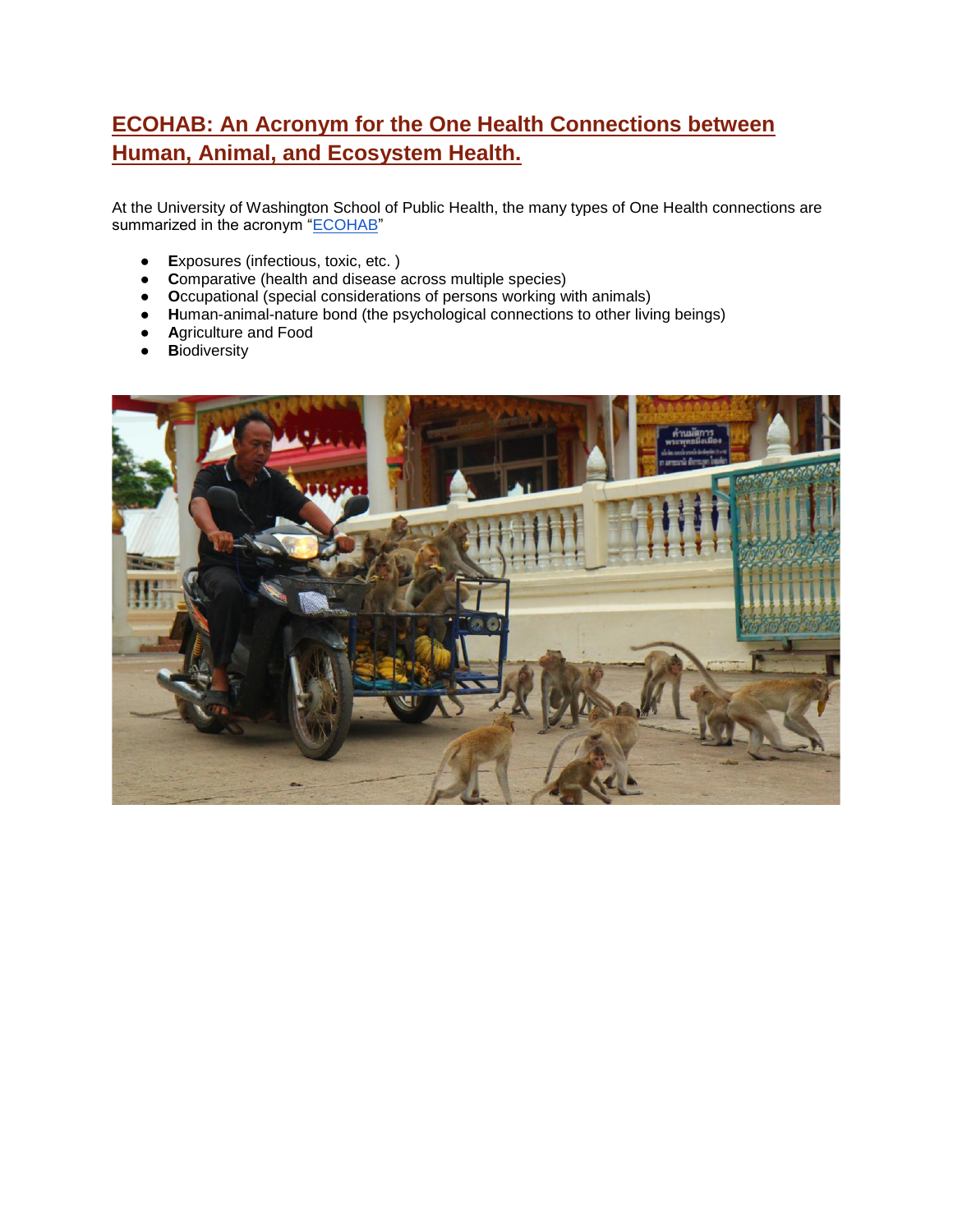# <span id="page-2-0"></span>**ECOHAB: An Acronym for the One Health Connections between Human, Animal, and Ecosystem Health.**

At the University of Washington School of Public Health, the many types of One Health connections are summarized in the acronym ["ECOHAB"](https://deohs.washington.edu/cohr/what-one-health)

- **E**xposures (infectious, toxic, etc. )
- **C**omparative (health and disease across multiple species)
- **O**ccupational (special considerations of persons working with animals)
- **H**uman-animal-nature bond (the psychological connections to other living beings)
- **A**griculture and Food
- **B**iodiversity

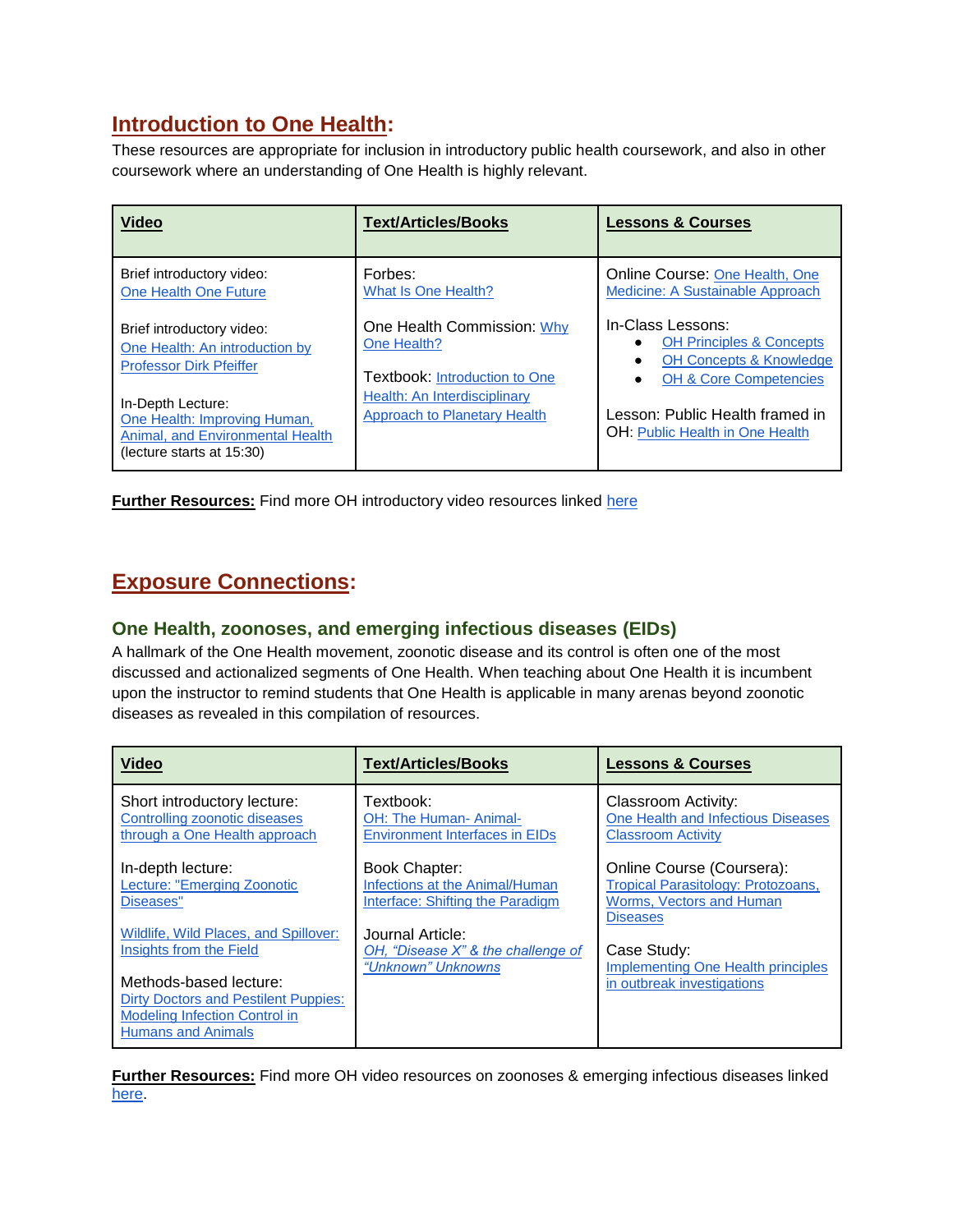## <span id="page-3-0"></span>**Introduction to One Health:**

These resources are appropriate for inclusion in introductory public health coursework, and also in other coursework where an understanding of One Health is highly relevant.

| <b>Video</b>                                                                                                       | <b>Text/Articles/Books</b>                                                        | <b>Lessons &amp; Courses</b>                                                                                                        |
|--------------------------------------------------------------------------------------------------------------------|-----------------------------------------------------------------------------------|-------------------------------------------------------------------------------------------------------------------------------------|
| Brief introductory video:<br>One Health One Future                                                                 | Forbes:<br>What Is One Health?                                                    | Online Course: One Health, One<br>Medicine: A Sustainable Approach                                                                  |
| Brief introductory video:<br>One Health: An introduction by<br><b>Professor Dirk Pfeiffer</b>                      | One Health Commission: Why<br>One Health?<br><b>Textbook: Introduction to One</b> | In-Class Lessons:<br><b>OH Principles &amp; Concepts</b><br><b>OH Concepts &amp; Knowledge</b><br><b>OH &amp; Core Competencies</b> |
| In-Depth Lecture:<br>One Health: Improving Human,<br>Animal, and Environmental Health<br>(lecture starts at 15:30) | Health: An Interdisciplinary<br><b>Approach to Planetary Health</b>               | Lesson: Public Health framed in<br><b>OH:</b> Public Health in One Health                                                           |

**Further Resources:** Find more OH introductory video resources linked [here](https://www.youtube.com/playlist?list=PLnzkTEq56dZCxDnE3ihZrOsQ-g8HARilX)

# <span id="page-3-2"></span><span id="page-3-1"></span>**Exposure Connections:**

#### **One Health, zoonoses, and emerging infectious diseases (EIDs)**

A hallmark of the One Health movement, zoonotic disease and its control is often one of the most discussed and actionalized segments of One Health. When teaching about One Health it is incumbent upon the instructor to remind students that One Health is applicable in many arenas beyond zoonotic diseases as revealed in this compilation of resources.

| <b>Video</b>                                                                                                                               | <b>Text/Articles/Books</b>                                                          | <b>Lessons &amp; Courses</b>                                                                                   |
|--------------------------------------------------------------------------------------------------------------------------------------------|-------------------------------------------------------------------------------------|----------------------------------------------------------------------------------------------------------------|
| Short introductory lecture:<br><b>Controlling zoonotic diseases</b><br>through a One Health approach                                       | Textbook:<br>OH: The Human- Animal-<br><b>Environment Interfaces in EIDs</b>        | Classroom Activity:<br>One Health and Infectious Diseases<br><b>Classroom Activity</b>                         |
| In-depth lecture:<br>Lecture: "Emerging Zoonotic<br>Diseases"                                                                              | Book Chapter:<br>Infections at the Animal/Human<br>Interface: Shifting the Paradigm | Online Course (Coursera):<br>Tropical Parasitology: Protozoans,<br>Worms, Vectors and Human<br><b>Diseases</b> |
| Wildlife, Wild Places, and Spillover:<br>Insights from the Field                                                                           | Journal Article:<br>OH, "Disease X" & the challenge of<br>"Unknown" Unknowns        | Case Study:<br><b>Implementing One Health principles</b>                                                       |
| Methods-based lecture:<br><b>Dirty Doctors and Pestilent Puppies:</b><br><b>Modeling Infection Control in</b><br><b>Humans and Animals</b> |                                                                                     | in outbreak investigations                                                                                     |

**Further Resources:** Find more OH video resources on zoonoses & emerging infectious diseases linked [here.](https://www.youtube.com/playlist?list=PLnzkTEq56dZBooakupryE1VQ5BK9OQBrR)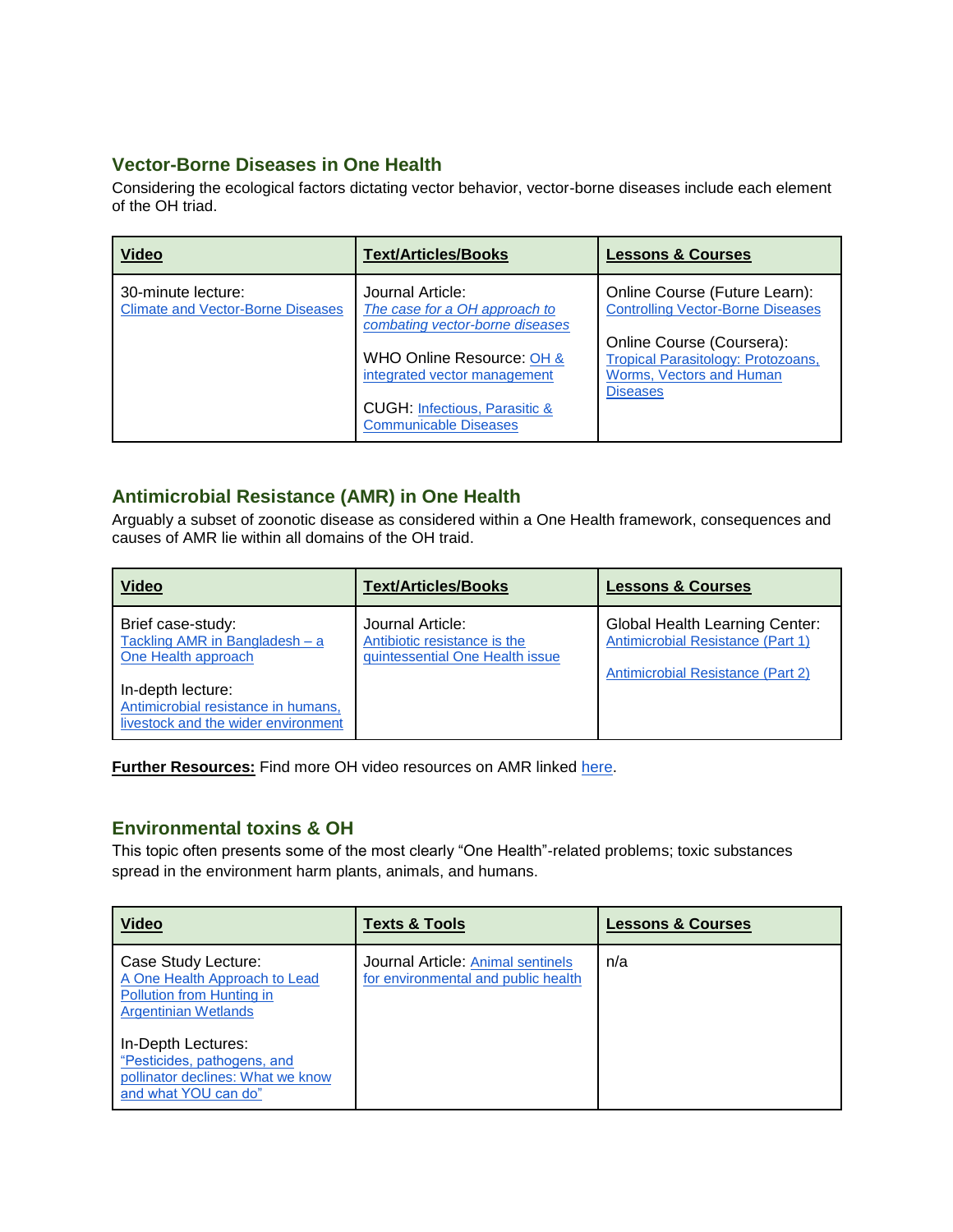#### **Vector-Borne Diseases in One Health**

Considering the ecological factors dictating vector behavior, vector-borne diseases include each element of the OH triad.

| <b>Video</b>                                                   | <b>Text/Articles/Books</b>                                                                                                                                                                                                    | <b>Lessons &amp; Courses</b>                                                                                                                                                                |
|----------------------------------------------------------------|-------------------------------------------------------------------------------------------------------------------------------------------------------------------------------------------------------------------------------|---------------------------------------------------------------------------------------------------------------------------------------------------------------------------------------------|
| 30-minute lecture:<br><b>Climate and Vector-Borne Diseases</b> | Journal Article:<br>The case for a OH approach to<br>combating vector-borne diseases<br>WHO Online Resource: OH &<br>integrated vector management<br><b>CUGH: Infectious, Parasitic &amp;</b><br><b>Communicable Diseases</b> | Online Course (Future Learn):<br><b>Controlling Vector-Borne Diseases</b><br>Online Course (Coursera):<br>Tropical Parasitology: Protozoans,<br>Worms, Vectors and Human<br><b>Diseases</b> |

#### <span id="page-4-0"></span>**Antimicrobial Resistance (AMR) in One Health**

Arguably a subset of zoonotic disease as considered within a One Health framework, consequences and causes of AMR lie within all domains of the OH traid.

| <b>Video</b>                                                                                                                                                                  | <b>Text/Articles/Books</b>                                                          | <b>Lessons &amp; Courses</b>                                                                                    |
|-------------------------------------------------------------------------------------------------------------------------------------------------------------------------------|-------------------------------------------------------------------------------------|-----------------------------------------------------------------------------------------------------------------|
| Brief case-study:<br>Tackling AMR in Bangladesh - a<br>One Health approach<br>In-depth lecture:<br>Antimicrobial resistance in humans,<br>livestock and the wider environment | Journal Article:<br>Antibiotic resistance is the<br>quintessential One Health issue | <b>Global Health Learning Center:</b><br>Antimicrobial Resistance (Part 1)<br>Antimicrobial Resistance (Part 2) |

**Further Resources:** Find more OH video resources on AMR linked [here.](https://www.youtube.com/playlist?list=PLnzkTEq56dZATac5_5yk4fjkNuvMpvb4n)

#### **Environmental toxins & OH**

This topic often presents some of the most clearly "One Health"-related problems; toxic substances spread in the environment harm plants, animals, and humans.

| <b>Video</b>                                                                                                     | <b>Texts &amp; Tools</b>                                                 | <b>Lessons &amp; Courses</b> |
|------------------------------------------------------------------------------------------------------------------|--------------------------------------------------------------------------|------------------------------|
| Case Study Lecture:<br>A One Health Approach to Lead<br>Pollution from Hunting in<br><b>Argentinian Wetlands</b> | Journal Article: Animal sentinels<br>for environmental and public health | n/a                          |
| In-Depth Lectures:<br>"Pesticides, pathogens, and<br>pollinator declines: What we know<br>and what YOU can do"   |                                                                          |                              |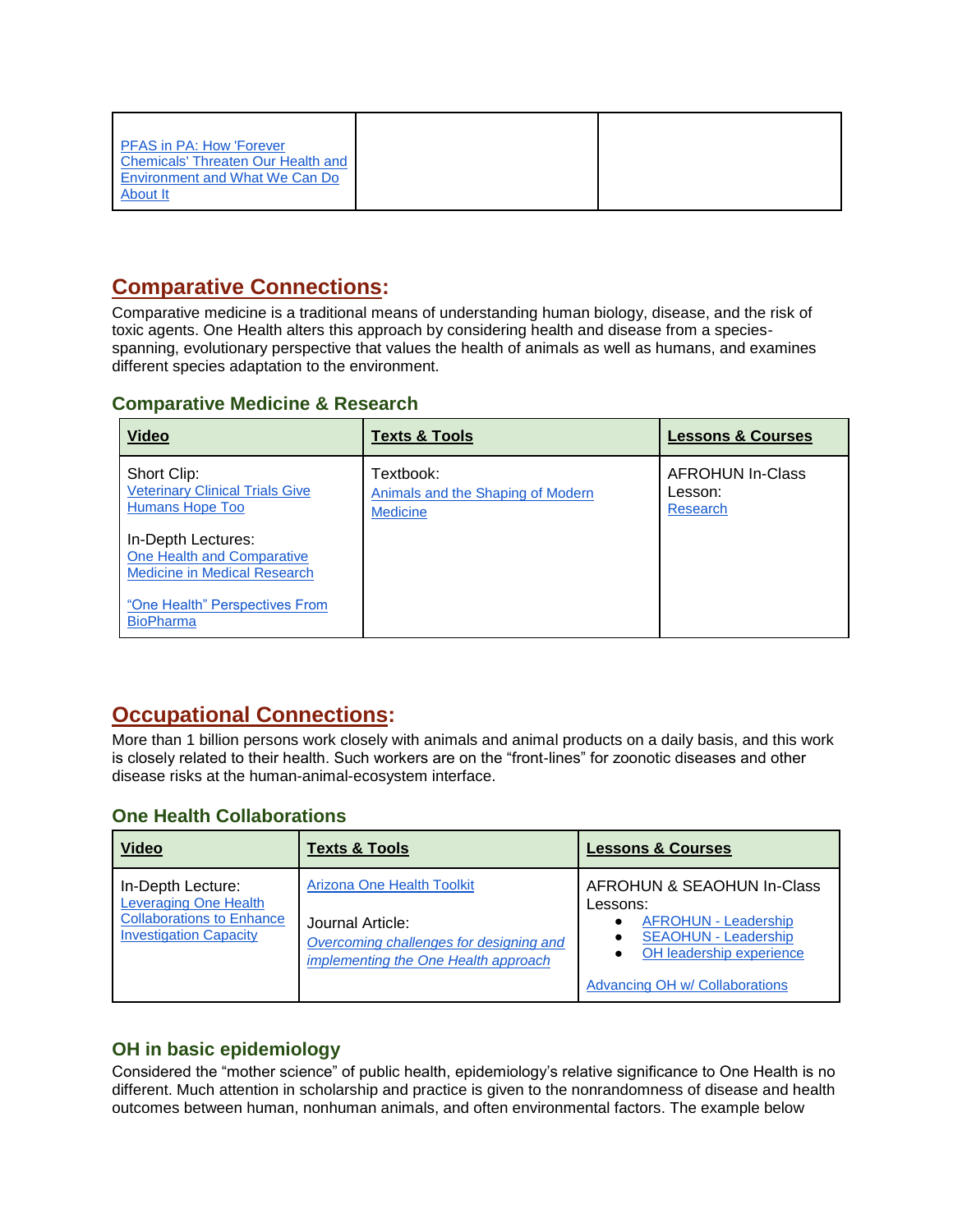| <b>PFAS in PA: How 'Forever</b><br>Chemicals' Threaten Our Health and<br><b>Environment and What We Can Do</b><br>About It |  |
|----------------------------------------------------------------------------------------------------------------------------|--|
|----------------------------------------------------------------------------------------------------------------------------|--|

## <span id="page-5-0"></span>**Comparative Connections:**

Comparative medicine is a traditional means of understanding human biology, disease, and the risk of toxic agents. One Health alters this approach by considering health and disease from a speciesspanning, evolutionary perspective that values the health of animals as well as humans, and examines different species adaptation to the environment.

#### **Comparative Medicine & Research**

| <b>Video</b>                                                                            | <b>Texts &amp; Tools</b>                                          | <b>Lessons &amp; Courses</b>                   |
|-----------------------------------------------------------------------------------------|-------------------------------------------------------------------|------------------------------------------------|
| Short Clip:<br><b>Veterinary Clinical Trials Give</b><br><b>Humans Hope Too</b>         | Textbook:<br>Animals and the Shaping of Modern<br><b>Medicine</b> | <b>AFROHUN In-Class</b><br>Lesson:<br>Research |
| In-Depth Lectures:<br>One Health and Comparative<br><b>Medicine in Medical Research</b> |                                                                   |                                                |
| "One Health" Perspectives From<br><b>BioPharma</b>                                      |                                                                   |                                                |

### <span id="page-5-1"></span>**Occupational Connections:**

More than 1 billion persons work closely with animals and animal products on a daily basis, and this work is closely related to their health. Such workers are on the "front-lines" for zoonotic diseases and other disease risks at the human-animal-ecosystem interface.

#### **One Health Collaborations**

| <b>Video</b>                                                                          | <b>Texts &amp; Tools</b>                                                        | <b>Lessons &amp; Courses</b>                                          |
|---------------------------------------------------------------------------------------|---------------------------------------------------------------------------------|-----------------------------------------------------------------------|
| In-Depth Lecture:<br><b>Leveraging One Health</b><br><b>Collaborations to Enhance</b> | <b>Arizona One Health Toolkit</b><br>Journal Article:                           | AFROHUN & SEAOHUN In-Class<br>Lessons:<br><b>AFROHUN - Leadership</b> |
| <b>Investigation Capacity</b>                                                         | Overcoming challenges for designing and<br>implementing the One Health approach | <b>SEAOHUN - Leadership</b><br>OH leadership experience               |
|                                                                                       |                                                                                 | Advancing OH w/ Collaborations                                        |

#### **OH in basic epidemiology**

Considered the "mother science" of public health, epidemiology's relative significance to One Health is no different. Much attention in scholarship and practice is given to the nonrandomness of disease and health outcomes between human, nonhuman animals, and often environmental factors. The example below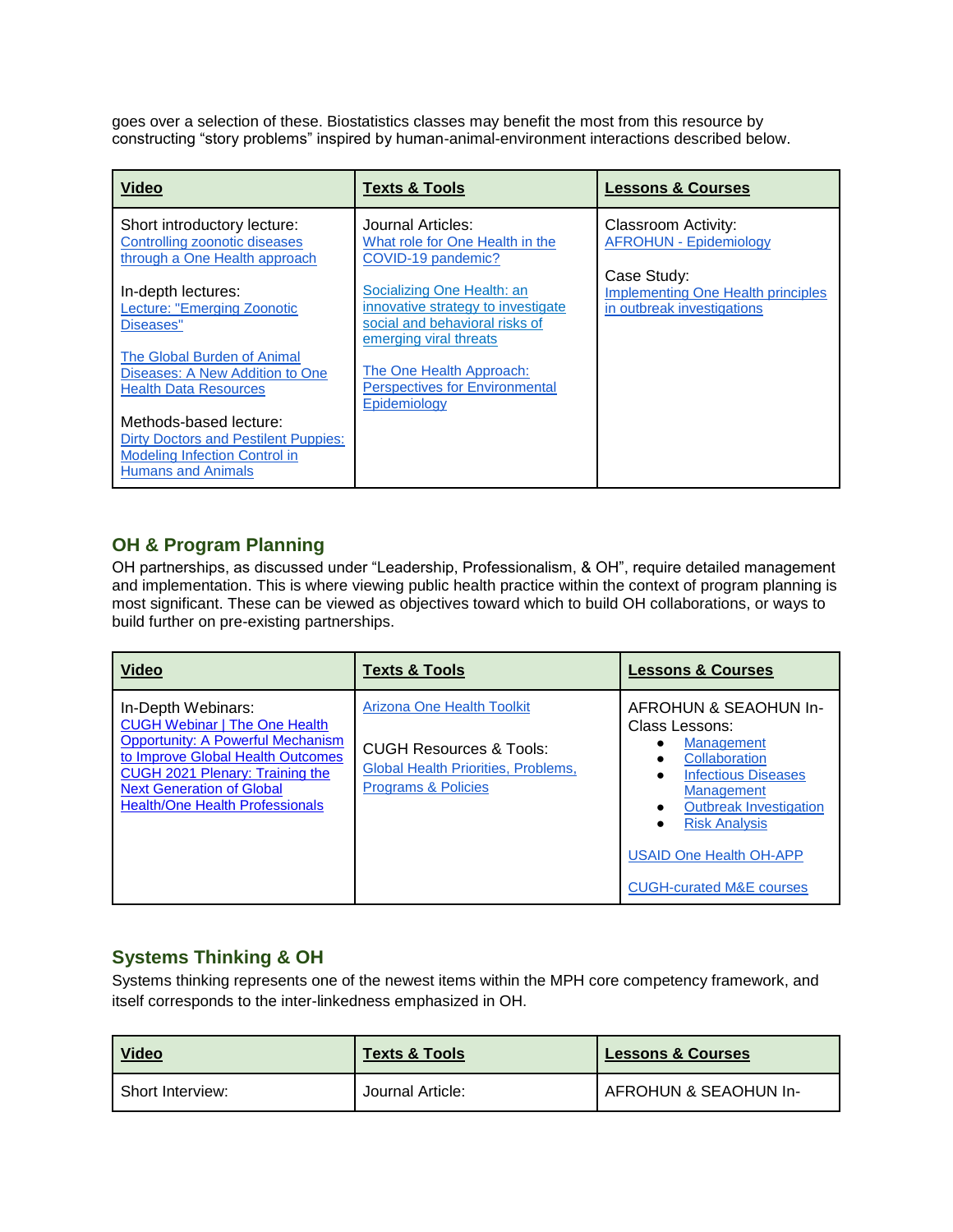goes over a selection of these. Biostatistics classes may benefit the most from this resource by constructing "story problems" inspired by human-animal-environment interactions described below.

| <b>Video</b>                                                                                                                               | <b>Texts &amp; Tools</b>                                                                           | <b>Lessons &amp; Courses</b>                                                           |
|--------------------------------------------------------------------------------------------------------------------------------------------|----------------------------------------------------------------------------------------------------|----------------------------------------------------------------------------------------|
| Short introductory lecture:<br>Controlling zoonotic diseases<br>through a One Health approach                                              | Journal Articles:<br>What role for One Health in the<br>COVID-19 pandemic?                         | Classroom Activity:<br><b>AFROHUN - Epidemiology</b>                                   |
| In-depth lectures:<br>Lecture: "Emerging Zoonotic<br>Diseases"                                                                             | Socializing One Health: an<br>innovative strategy to investigate<br>social and behavioral risks of | Case Study:<br><b>Implementing One Health principles</b><br>in outbreak investigations |
| The Global Burden of Animal<br>Diseases: A New Addition to One<br><b>Health Data Resources</b>                                             | emerging viral threats<br>The One Health Approach:<br><b>Perspectives for Environmental</b>        |                                                                                        |
| Methods-based lecture:<br><b>Dirty Doctors and Pestilent Puppies:</b><br><b>Modeling Infection Control in</b><br><b>Humans and Animals</b> | Epidemiology                                                                                       |                                                                                        |

#### **OH & Program Planning**

OH partnerships, as discussed under "Leadership, Professionalism, & OH", require detailed management and implementation. This is where viewing public health practice within the context of program planning is most significant. These can be viewed as objectives toward which to build OH collaborations, or ways to build further on pre-existing partnerships.

| <b>Video</b>                                                                                                                                                                                                                                                 | <b>Texts &amp; Tools</b>                                                                                                                                | <b>Lessons &amp; Courses</b>                                                                                                                                                                                                                                |
|--------------------------------------------------------------------------------------------------------------------------------------------------------------------------------------------------------------------------------------------------------------|---------------------------------------------------------------------------------------------------------------------------------------------------------|-------------------------------------------------------------------------------------------------------------------------------------------------------------------------------------------------------------------------------------------------------------|
| In-Depth Webinars:<br><b>CUGH Webinar   The One Health</b><br><b>Opportunity: A Powerful Mechanism</b><br>to Improve Global Health Outcomes<br>CUGH 2021 Plenary: Training the<br><b>Next Generation of Global</b><br><b>Health/One Health Professionals</b> | <b>Arizona One Health Toolkit</b><br><b>CUGH Resources &amp; Tools:</b><br><b>Global Health Priorities, Problems,</b><br><b>Programs &amp; Policies</b> | AFROHUN & SEAOHUN In-<br>Class Lessons:<br>Management<br>Collaboration<br><b>Infectious Diseases</b><br><b>Management</b><br><b>Outbreak Investigation</b><br><b>Risk Analysis</b><br><b>USAID One Health OH-APP</b><br><b>CUGH-curated M&amp;E courses</b> |

#### **Systems Thinking & OH**

Systems thinking represents one of the newest items within the MPH core competency framework, and itself corresponds to the inter-linkedness emphasized in OH.

| <u>Video</u>     | <b>Texts &amp; Tools</b> | <b>Lessons &amp; Courses</b> |
|------------------|--------------------------|------------------------------|
| Short Interview: | Journal Article:         | AFROHUN & SEAOHUN In-        |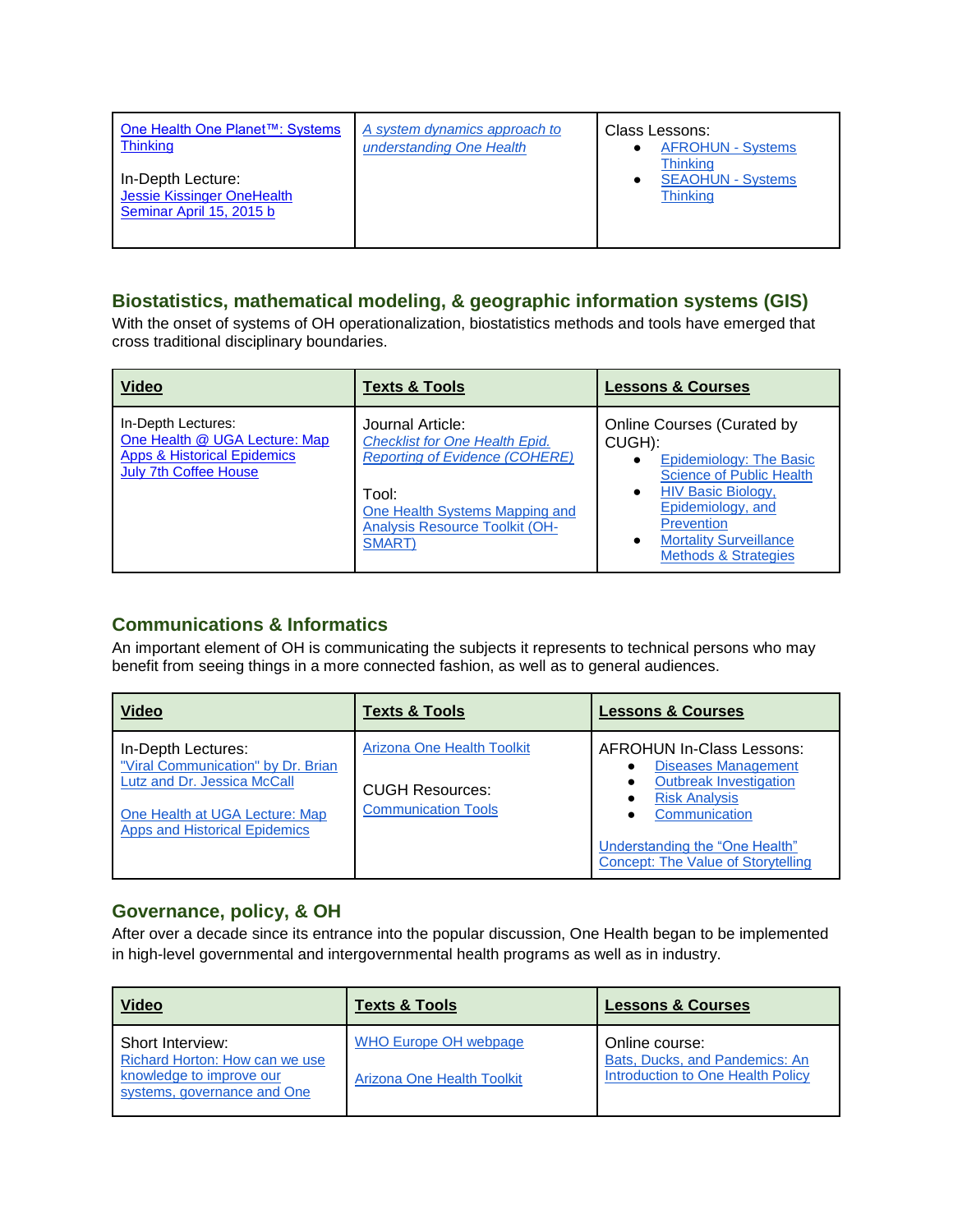| One Health One Planet™: Systems<br><b>Thinking</b>                          | A system dynamics approach to<br>understanding One Health | Class Lessons:<br><b>AFROHUN - Systems</b><br><b>Thinking</b> |
|-----------------------------------------------------------------------------|-----------------------------------------------------------|---------------------------------------------------------------|
| In-Depth Lecture:<br>Jessie Kissinger OneHealth<br>Seminar April 15, 2015 b |                                                           | <b>SEAOHUN - Systems</b><br><b>Thinking</b>                   |

#### **Biostatistics, mathematical modeling, & geographic information systems (GIS)**

With the onset of systems of OH operationalization, biostatistics methods and tools have emerged that cross traditional disciplinary boundaries.

| <b>Video</b>                                                                                                                  | <b>Texts &amp; Tools</b>                                                                                                                                                                         | <b>Lessons &amp; Courses</b>                                                                                                                                                                                                                         |
|-------------------------------------------------------------------------------------------------------------------------------|--------------------------------------------------------------------------------------------------------------------------------------------------------------------------------------------------|------------------------------------------------------------------------------------------------------------------------------------------------------------------------------------------------------------------------------------------------------|
| In-Depth Lectures:<br>One Health @ UGA Lecture: Map<br><b>Apps &amp; Historical Epidemics</b><br><b>July 7th Coffee House</b> | Journal Article:<br><b>Checklist for One Health Epid.</b><br><b>Reporting of Evidence (COHERE)</b><br>Tool:<br>One Health Systems Mapping and<br><b>Analysis Resource Toolkit (OH-</b><br>SMART) | <b>Online Courses (Curated by</b><br>CUGH):<br>Epidemiology: The Basic<br><b>Science of Public Health</b><br><b>HIV Basic Biology,</b><br>Epidemiology, and<br><b>Prevention</b><br><b>Mortality Surveillance</b><br><b>Methods &amp; Strategies</b> |

#### **Communications & Informatics**

An important element of OH is communicating the subjects it represents to technical persons who may benefit from seeing things in a more connected fashion, as well as to general audiences.

| <b>Video</b>                                                                                                                                                      | <b>Texts &amp; Tools</b>                                                           | <b>Lessons &amp; Courses</b>                                                                                                                                                                                            |
|-------------------------------------------------------------------------------------------------------------------------------------------------------------------|------------------------------------------------------------------------------------|-------------------------------------------------------------------------------------------------------------------------------------------------------------------------------------------------------------------------|
| In-Depth Lectures:<br>"Viral Communication" by Dr. Brian<br>Lutz and Dr. Jessica McCall<br>One Health at UGA Lecture: Map<br><b>Apps and Historical Epidemics</b> | Arizona One Health Toolkit<br><b>CUGH Resources:</b><br><b>Communication Tools</b> | <b>AFROHUN In-Class Lessons:</b><br><b>Diseases Management</b><br><b>Outbreak Investigation</b><br><b>Risk Analysis</b><br>Communication<br>Understanding the "One Health"<br><b>Concept: The Value of Storytelling</b> |

#### **Governance, policy, & OH**

After over a decade since its entrance into the popular discussion, One Health began to be implemented in high-level governmental and intergovernmental health programs as well as in industry.

| <b>Video</b>                                                                                                  | <b>Texts &amp; Tools</b>                                   | <b>Lessons &amp; Courses</b>                                                                 |
|---------------------------------------------------------------------------------------------------------------|------------------------------------------------------------|----------------------------------------------------------------------------------------------|
| Short Interview:<br>Richard Horton: How can we use<br>knowledge to improve our<br>systems, governance and One | <b>WHO Europe OH webpage</b><br>Arizona One Health Toolkit | Online course:<br><b>Bats, Ducks, and Pandemics: An</b><br>Introduction to One Health Policy |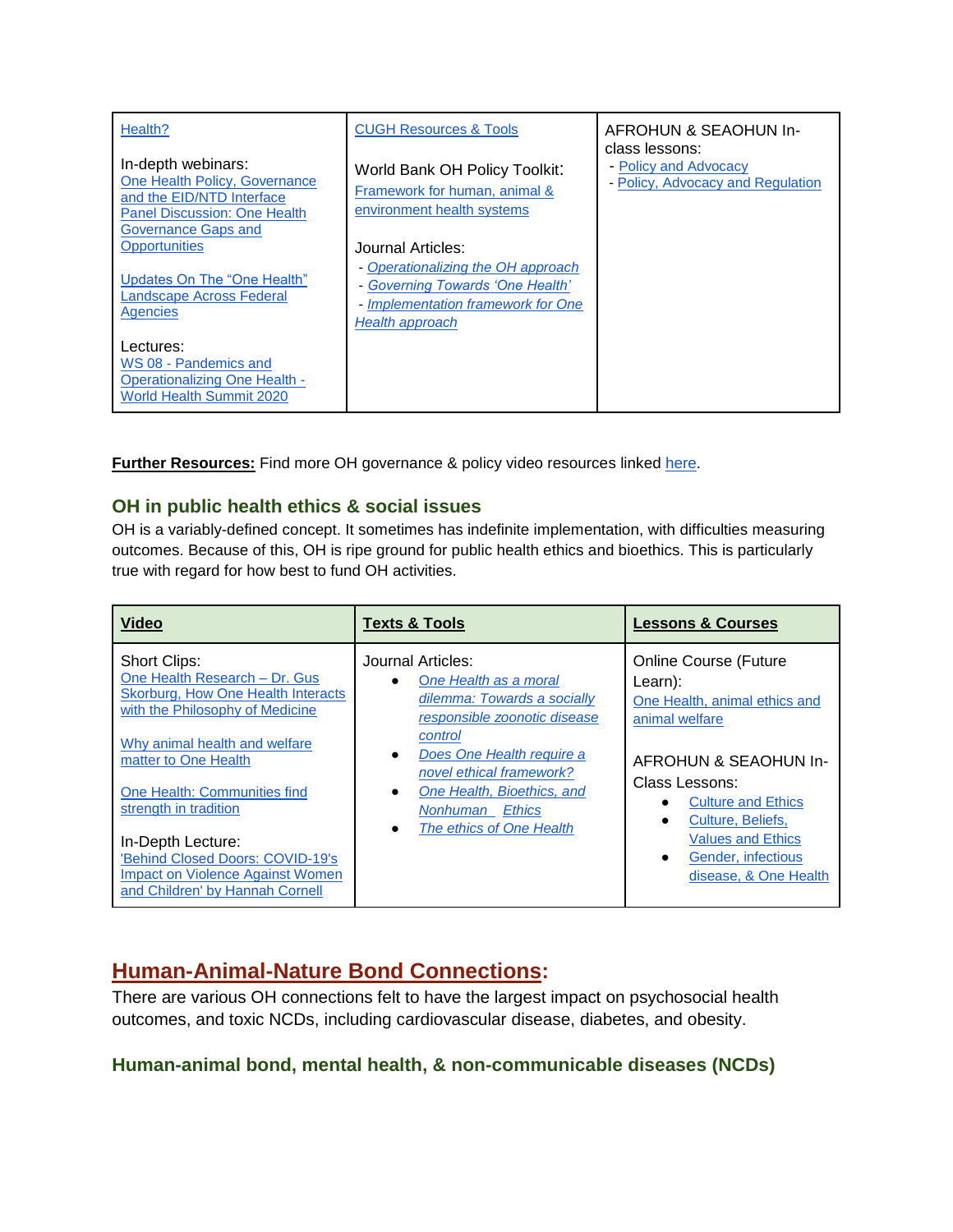| Health?                                                                                                                                        | <b>CUGH Resources &amp; Tools</b>                                                                                                 | AFROHUN & SEAOHUN In-<br>class lessons:                    |
|------------------------------------------------------------------------------------------------------------------------------------------------|-----------------------------------------------------------------------------------------------------------------------------------|------------------------------------------------------------|
| In-depth webinars:<br>One Health Policy, Governance<br>and the EID/NTD Interface<br><b>Panel Discussion: One Health</b><br>Governance Gaps and | World Bank OH Policy Toolkit:<br>Framework for human, animal &<br>environment health systems                                      | - Policy and Advocacy<br>- Policy, Advocacy and Regulation |
| <b>Opportunities</b><br>Updates On The "One Health"<br>Landscape Across Federal<br>Agencies                                                    | Journal Articles:<br>- Operationalizing the OH approach<br>- Governing Towards 'One Health'<br>- Implementation framework for One |                                                            |
| Lectures:<br>WS 08 - Pandemics and<br>Operationalizing One Health -<br><b>World Health Summit 2020</b>                                         | Health approach                                                                                                                   |                                                            |

**Further Resources:** Find more OH governance & policy video resources linked [here.](https://www.youtube.com/playlist?list=PLnzkTEq56dZDSHnEb1w81JAWiGdqOD-DR)

#### **OH in public health ethics & social issues**

OH is a variably-defined concept. It sometimes has indefinite implementation, with difficulties measuring outcomes. Because of this, OH is ripe ground for public health ethics and bioethics. This is particularly true with regard for how best to fund OH activities.

| <b>Video</b>                              | <b>Texts &amp; Tools</b>     | <b>Lessons &amp; Courses</b>  |
|-------------------------------------------|------------------------------|-------------------------------|
| Short Clips:                              | Journal Articles:            | <b>Online Course (Future</b>  |
| One Health Research - Dr. Gus             | One Health as a moral        | Learn):                       |
| <b>Skorburg, How One Health Interacts</b> | dilemma: Towards a socially  | One Health, animal ethics and |
| with the Philosophy of Medicine           | responsible zoonotic disease | animal welfare                |
| Why animal health and welfare             | control                      | AFROHUN & SEAOHUN In-         |
| matter to One Health                      | Does One Health require a    | Class Lessons:                |
| One Health: Communities find              | $\bullet$                    | <b>Culture and Ethics</b>     |
| strength in tradition                     | novel ethical framework?     | Culture, Beliefs,             |
| In-Depth Lecture:                         | One Health, Bioethics, and   | <b>Values and Ethics</b>      |
| 'Behind Closed Doors: COVID-19's          | <b>Nonhuman</b> Ethics       | Gender, infectious            |
| <b>Impact on Violence Against Women</b>   | The ethics of One Health     | $\bullet$                     |
| and Children' by Hannah Cornell           |                              | disease, & One Health         |

### **Human-Animal-Nature Bond Connections:**

There are various OH connections felt to have the largest impact on psychosocial health outcomes, and toxic NCDs, including cardiovascular disease, diabetes, and obesity.

#### **Human-animal bond, mental health, & non-communicable diseases (NCDs)**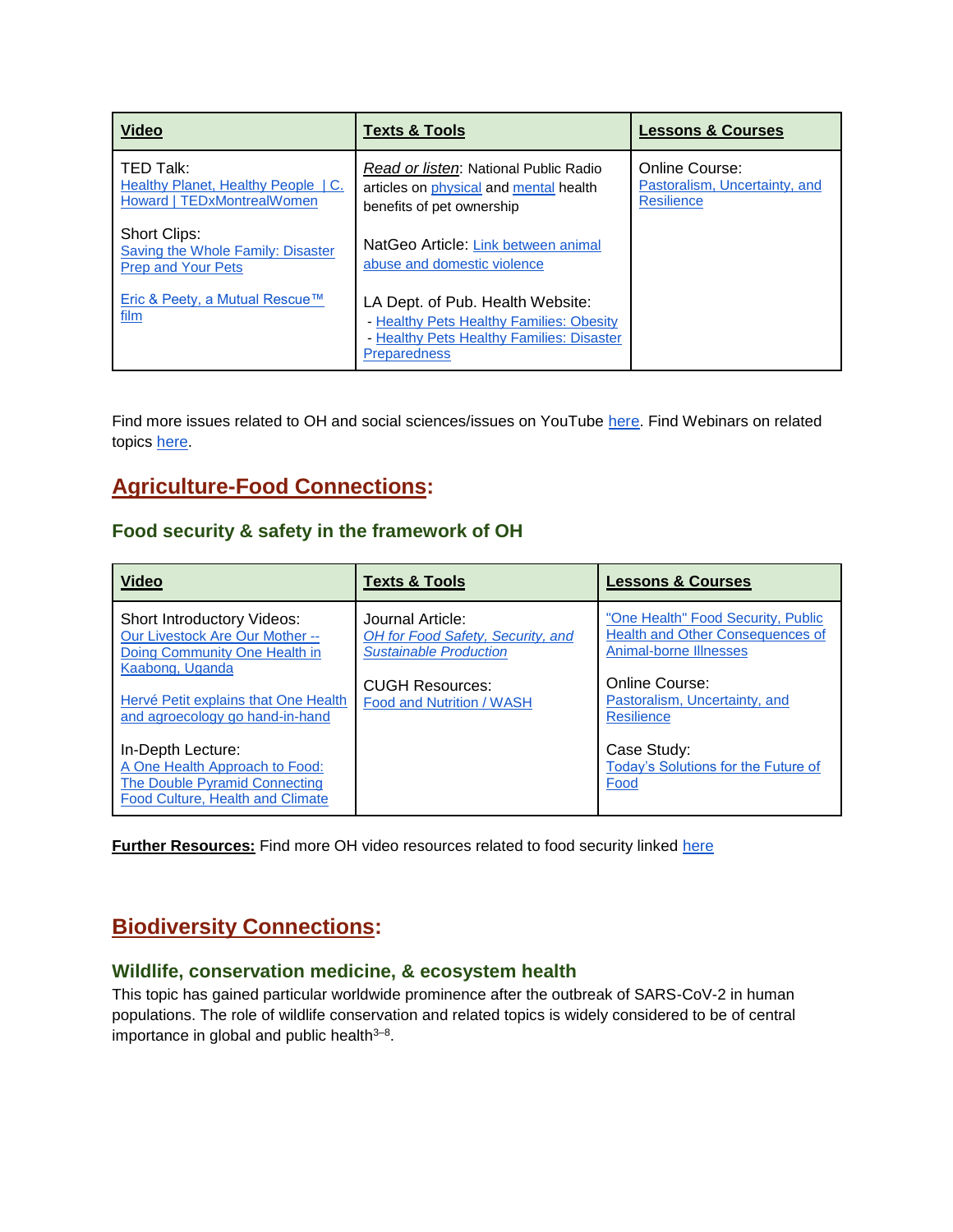| <b>Video</b>                                                                          | <b>Texts &amp; Tools</b>                                                                                                                         | <b>Lessons &amp; Courses</b>                                         |
|---------------------------------------------------------------------------------------|--------------------------------------------------------------------------------------------------------------------------------------------------|----------------------------------------------------------------------|
| TED Talk:<br><b>Healthy Planet, Healthy People   C.</b><br>Howard   TEDxMontrealWomen | Read or listen: National Public Radio<br>articles on physical and mental health<br>benefits of pet ownership                                     | Online Course:<br>Pastoralism, Uncertainty, and<br><b>Resilience</b> |
| Short Clips:<br>Saving the Whole Family: Disaster<br><b>Prep and Your Pets</b>        | NatGeo Article: Link between animal<br>abuse and domestic violence                                                                               |                                                                      |
| Eric & Peety, a Mutual Rescue™<br>film                                                | LA Dept. of Pub. Health Website:<br>- Healthy Pets Healthy Families: Obesity<br>- Healthy Pets Healthy Families: Disaster<br><b>Preparedness</b> |                                                                      |

<span id="page-9-0"></span>Find more issues related to OH and social sciences/issues on YouTube [here.](https://www.youtube.com/playlist?list=PLnzkTEq56dZA8jIQWwmkdB8-q9s6D2rkT) Find Webinars on related topics [here.](https://docs.google.com/spreadsheets/d/1skKRO9BVrKkLKwouC9T51cWySpTL1STsYDojOGTgJ-Y/edit#gid=0)

# **Agriculture-Food Connections:**

#### **Food security & safety in the framework of OH**

| <b>Video</b>                                                                                                                    | <b>Texts &amp; Tools</b>                                                               | <b>Lessons &amp; Courses</b>                                                                                   |
|---------------------------------------------------------------------------------------------------------------------------------|----------------------------------------------------------------------------------------|----------------------------------------------------------------------------------------------------------------|
| Short Introductory Videos:<br>Our Livestock Are Our Mother --<br>Doing Community One Health in<br>Kaabong, Uganda               | Journal Article:<br>OH for Food Safety, Security, and<br><b>Sustainable Production</b> | "One Health" Food Security, Public<br><b>Health and Other Consequences of</b><br><b>Animal-borne Illnesses</b> |
| Hervé Petit explains that One Health<br>and agroecology go hand-in-hand                                                         | <b>CUGH Resources:</b><br>Food and Nutrition / WASH                                    | Online Course:<br>Pastoralism, Uncertainty, and<br><b>Resilience</b>                                           |
| In-Depth Lecture:<br>A One Health Approach to Food:<br><b>The Double Pyramid Connecting</b><br>Food Culture, Health and Climate |                                                                                        | Case Study:<br>Today's Solutions for the Future of<br>Food                                                     |

<span id="page-9-1"></span>**Further Resources:** Find more OH video resources related to food security linked [here](https://www.youtube.com/playlist?list=PLnzkTEq56dZDEbOw8JfTNHjly7uqLprcF)

# **Biodiversity Connections:**

#### **Wildlife, conservation medicine, & ecosystem health**

This topic has gained particular worldwide prominence after the outbreak of SARS-CoV-2 in human populations. The role of wildlife conservation and related topics is widely considered to be of central importance in global and public health<sup>3-8</sup>.